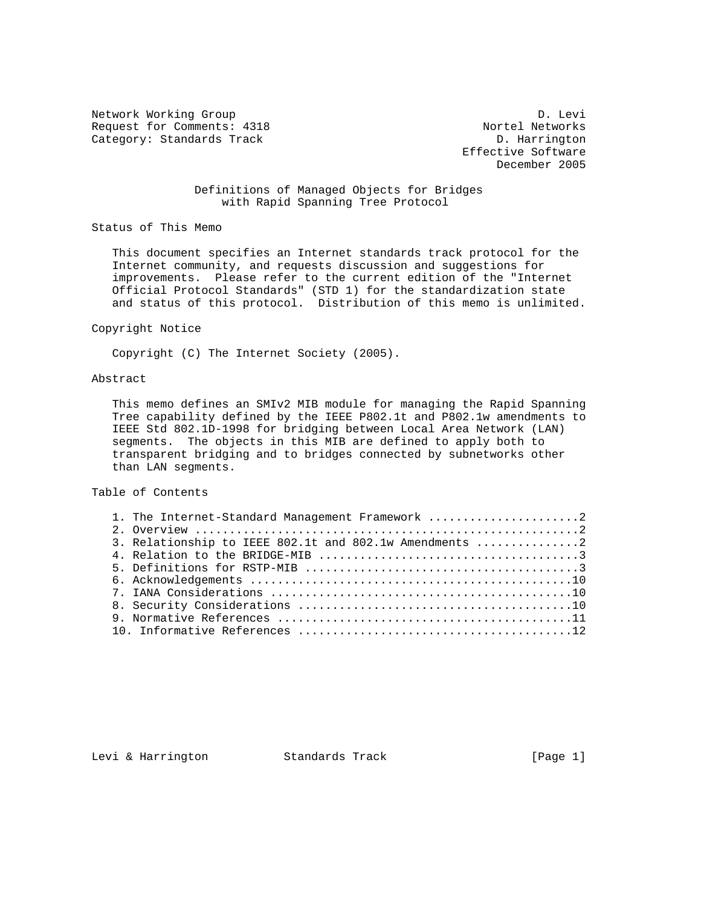Network Working Group Devil and the United States of D. Levi Request for Comments: 4318 Nortel Networks Category: Standards Track D. Harrington

 Effective Software December 2005

# Definitions of Managed Objects for Bridges with Rapid Spanning Tree Protocol

Status of This Memo

 This document specifies an Internet standards track protocol for the Internet community, and requests discussion and suggestions for improvements. Please refer to the current edition of the "Internet Official Protocol Standards" (STD 1) for the standardization state and status of this protocol. Distribution of this memo is unlimited.

### Copyright Notice

Copyright (C) The Internet Society (2005).

## Abstract

 This memo defines an SMIv2 MIB module for managing the Rapid Spanning Tree capability defined by the IEEE P802.1t and P802.1w amendments to IEEE Std 802.1D-1998 for bridging between Local Area Network (LAN) segments. The objects in this MIB are defined to apply both to transparent bridging and to bridges connected by subnetworks other than LAN segments.

Table of Contents

| 1. The Internet-Standard Management Framework 2        |
|--------------------------------------------------------|
|                                                        |
| 3. Relationship to IEEE 802.1t and 802.1w Amendments 2 |
|                                                        |
|                                                        |
|                                                        |
|                                                        |
|                                                        |
|                                                        |
|                                                        |
|                                                        |

Levi & Harrington Standards Track [Page 1]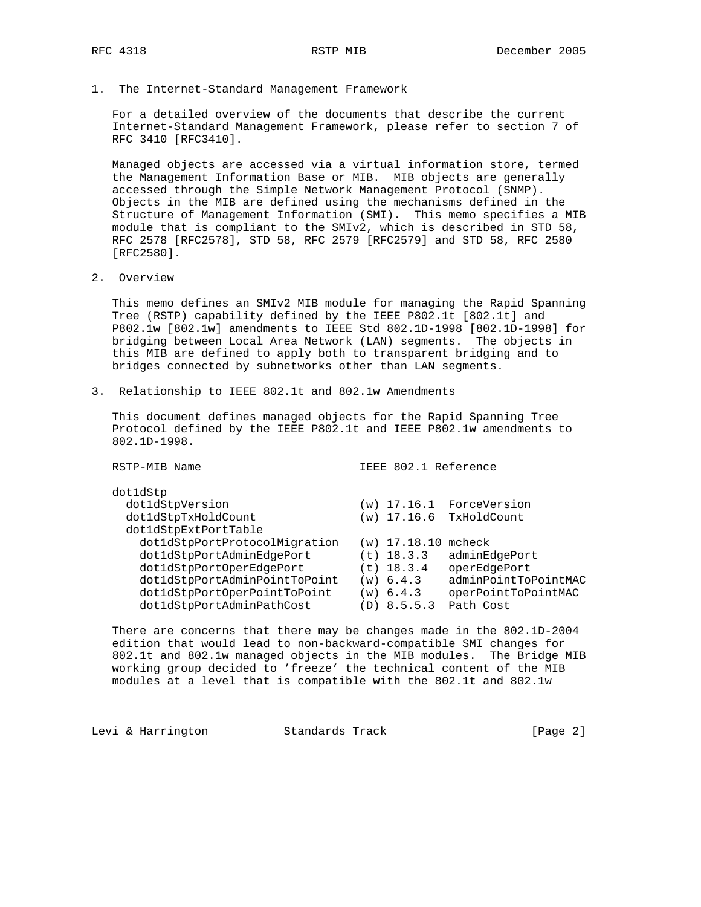1. The Internet-Standard Management Framework

 For a detailed overview of the documents that describe the current Internet-Standard Management Framework, please refer to section 7 of RFC 3410 [RFC3410].

 Managed objects are accessed via a virtual information store, termed the Management Information Base or MIB. MIB objects are generally accessed through the Simple Network Management Protocol (SNMP). Objects in the MIB are defined using the mechanisms defined in the Structure of Management Information (SMI). This memo specifies a MIB module that is compliant to the SMIv2, which is described in STD 58, RFC 2578 [RFC2578], STD 58, RFC 2579 [RFC2579] and STD 58, RFC 2580 [RFC2580].

2. Overview

 This memo defines an SMIv2 MIB module for managing the Rapid Spanning Tree (RSTP) capability defined by the IEEE P802.1t [802.1t] and P802.1w [802.1w] amendments to IEEE Std 802.1D-1998 [802.1D-1998] for bridging between Local Area Network (LAN) segments. The objects in this MIB are defined to apply both to transparent bridging and to bridges connected by subnetworks other than LAN segments.

3. Relationship to IEEE 802.1t and 802.1w Amendments

 This document defines managed objects for the Rapid Spanning Tree Protocol defined by the IEEE P802.1t and IEEE P802.1w amendments to 802.1D-1998.

RSTP-MIB Name  $\qquad \qquad$  IEEE 802.1 Reference

| dotldStp                      |                       |                          |
|-------------------------------|-----------------------|--------------------------|
| dot1dStpVersion               |                       | (w) 17.16.1 ForceVersion |
| dot1dStpTxHoldCount           |                       | (w) 17.16.6 TxHoldCount  |
| dot1dStpExtPortTable          |                       |                          |
| dot1dStpPortProtocolMigration | $(w)$ 17.18.10 mcheck |                          |
| dot1dStpPortAdminEdgePort     | $(t)$ 18.3.3          | adminEdgePort            |
| dot1dStpPortOperEdgePort      | $(t)$ 18.3.4          | operEdgePort             |
| dot1dStpPortAdminPointToPoint | $(w)$ 6.4.3           | adminPointToPointMAC     |
| dot1dStpPortOperPointToPoint  | (w) 6.4.3             | operPointToPointMAC      |
| dot1dStpPortAdminPathCost     | (D) 8.5.5.3           | Path Cost                |

 There are concerns that there may be changes made in the 802.1D-2004 edition that would lead to non-backward-compatible SMI changes for 802.1t and 802.1w managed objects in the MIB modules. The Bridge MIB working group decided to 'freeze' the technical content of the MIB modules at a level that is compatible with the 802.1t and 802.1w

Levi & Harrington Standards Track [Page 2]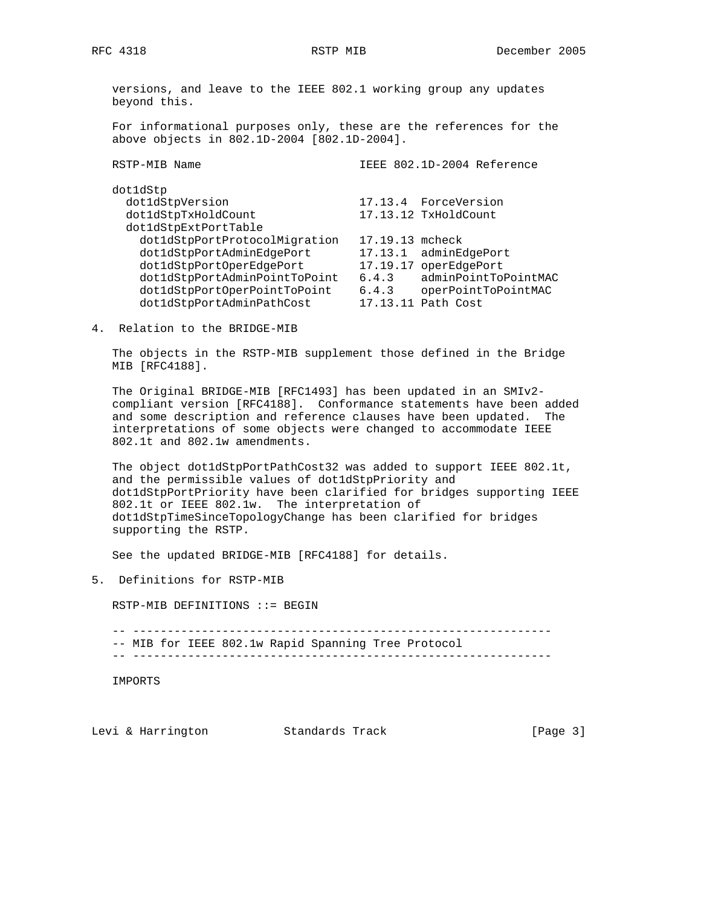versions, and leave to the IEEE 802.1 working group any updates beyond this.

 For informational purposes only, these are the references for the above objects in 802.1D-2004 [802.1D-2004].

| RSTP-MIB Name                 |          | IEEE 802.1D-2004 Reference |
|-------------------------------|----------|----------------------------|
| dotldStp                      |          |                            |
| dot1dStpVersion               |          | 17.13.4 ForceVersion       |
| dot1dStpTxHoldCount           |          | 17.13.12 TxHoldCount       |
| dot1dStpExtPortTable          |          |                            |
| dot1dStpPortProtocolMigration | 17.19.13 | mcheck                     |
| dot1dStpPortAdminEdgePort     | 17.13.1  | adminEdgePort              |
| dot1dStpPortOperEdgePort      | 17.19.17 | operEdgePort               |
| dot1dStpPortAdminPointToPoint | 6.4.3    | adminPointToPointMAC       |
| dot1dStpPortOperPointToPoint  | 6.4.3    | operPointToPointMAC        |
| dot1dStpPortAdminPathCost     |          | 17.13.11 Path Cost         |
|                               |          |                            |

4. Relation to the BRIDGE-MIB

 The objects in the RSTP-MIB supplement those defined in the Bridge MIB [RFC4188].

 The Original BRIDGE-MIB [RFC1493] has been updated in an SMIv2 compliant version [RFC4188]. Conformance statements have been added and some description and reference clauses have been updated. The interpretations of some objects were changed to accommodate IEEE 802.1t and 802.1w amendments.

 The object dot1dStpPortPathCost32 was added to support IEEE 802.1t, and the permissible values of dot1dStpPriority and dot1dStpPortPriority have been clarified for bridges supporting IEEE 802.1t or IEEE 802.1w. The interpretation of dot1dStpTimeSinceTopologyChange has been clarified for bridges supporting the RSTP.

See the updated BRIDGE-MIB [RFC4188] for details.

5. Definitions for RSTP-MIB

RSTP-MIB DEFINITIONS ::= BEGIN

 -- ------------------------------------------------------------- -- MIB for IEEE 802.1w Rapid Spanning Tree Protocol

-- -------------------------------------------------------------

IMPORTS

Levi & Harrington Standards Track [Page 3]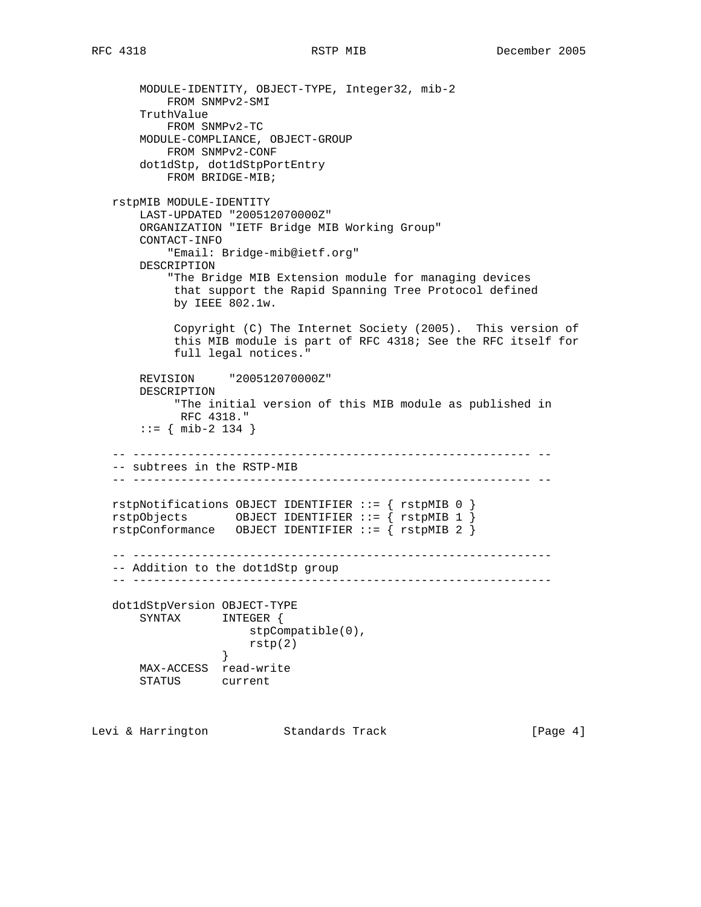MODULE-IDENTITY, OBJECT-TYPE, Integer32, mib-2 FROM SNMPv2-SMI TruthValue FROM SNMPv2-TC MODULE-COMPLIANCE, OBJECT-GROUP FROM SNMPv2-CONF dot1dStp, dot1dStpPortEntry FROM BRIDGE-MIB; rstpMIB MODULE-IDENTITY LAST-UPDATED "200512070000Z" ORGANIZATION "IETF Bridge MIB Working Group" CONTACT-INFO "Email: Bridge-mib@ietf.org" DESCRIPTION "The Bridge MIB Extension module for managing devices that support the Rapid Spanning Tree Protocol defined by IEEE 802.1w. Copyright (C) The Internet Society (2005). This version of this MIB module is part of RFC 4318; See the RFC itself for full legal notices." REVISION "200512070000Z" DESCRIPTION "The initial version of this MIB module as published in RFC 4318." ::= { mib-2 134 } -- ---------------------------------------------------------- -- -- subtrees in the RSTP-MIB -- ---------------------------------------------------------- - rstpNotifications OBJECT IDENTIFIER ::= { rstpMIB 0 } rstpObjects OBJECT IDENTIFIER ::= { rstpMIB 1 }  $rstpConformance$  OBJECT IDENTIFIER ::= {  $rstpMIB$  2 } -- ------------------------------------------------------------- -- Addition to the dot1dStp group -- ------------------------------------------------------------ dot1dStpVersion OBJECT-TYPE SYNTAX INTEGER { stpCompatible(0), rstp(2) } MAX-ACCESS read-write STATUS current

Levi & Harrington Standards Track [Page 4]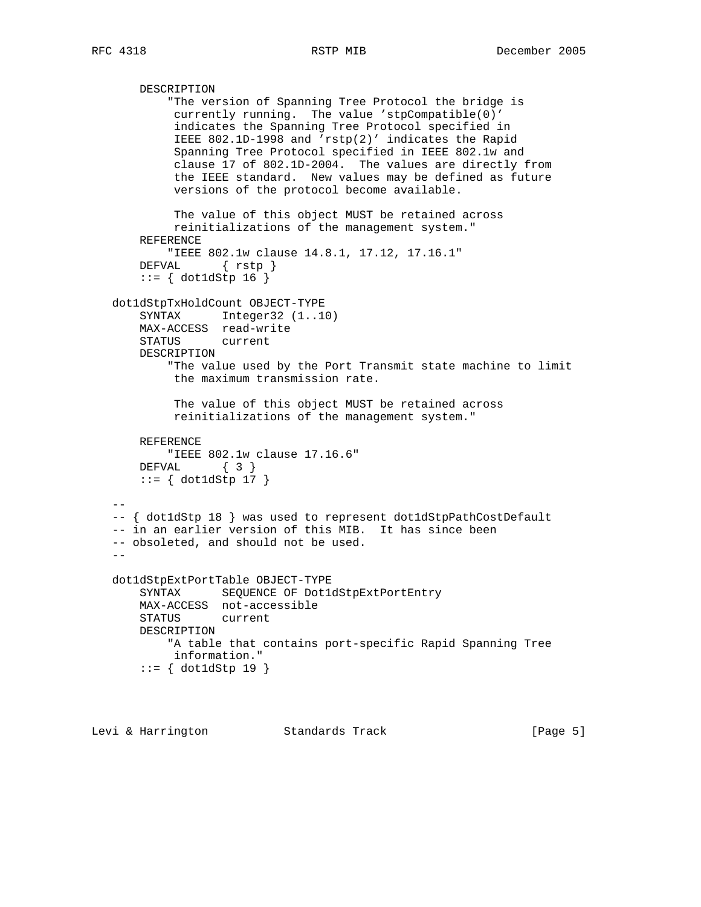```
 DESCRIPTION
            "The version of Spanning Tree Protocol the bridge is
            currently running. The value 'stpCompatible(0)'
            indicates the Spanning Tree Protocol specified in
            IEEE 802.1D-1998 and 'rstp(2)' indicates the Rapid
            Spanning Tree Protocol specified in IEEE 802.1w and
            clause 17 of 802.1D-2004. The values are directly from
            the IEEE standard. New values may be defined as future
            versions of the protocol become available.
            The value of this object MUST be retained across
            reinitializations of the management system."
       REFERENCE
           "IEEE 802.1w clause 14.8.1, 17.12, 17.16.1"
       DEFVAL { rstp }
       ::= { dot1dStp 16 }
   dot1dStpTxHoldCount OBJECT-TYPE
       SYNTAX Integer32 (1..10)
       MAX-ACCESS read-write
       STATUS current
       DESCRIPTION
            "The value used by the Port Transmit state machine to limit
            the maximum transmission rate.
            The value of this object MUST be retained across
            reinitializations of the management system."
       REFERENCE
           "IEEE 802.1w clause 17.16.6"
       DEFVAL { 3 }
       ::= { dot1dStp 17 }
 --
   -- { dot1dStp 18 } was used to represent dot1dStpPathCostDefault
   -- in an earlier version of this MIB. It has since been
   -- obsoleted, and should not be used.
  - dot1dStpExtPortTable OBJECT-TYPE
       SYNTAX SEQUENCE OF Dot1dStpExtPortEntry
       MAX-ACCESS not-accessible
       STATUS current
       DESCRIPTION
           "A table that contains port-specific Rapid Spanning Tree
            information."
       ::= { dot1dStp 19 }
```

```
Levi & Harrington Standards Track [Page 5]
```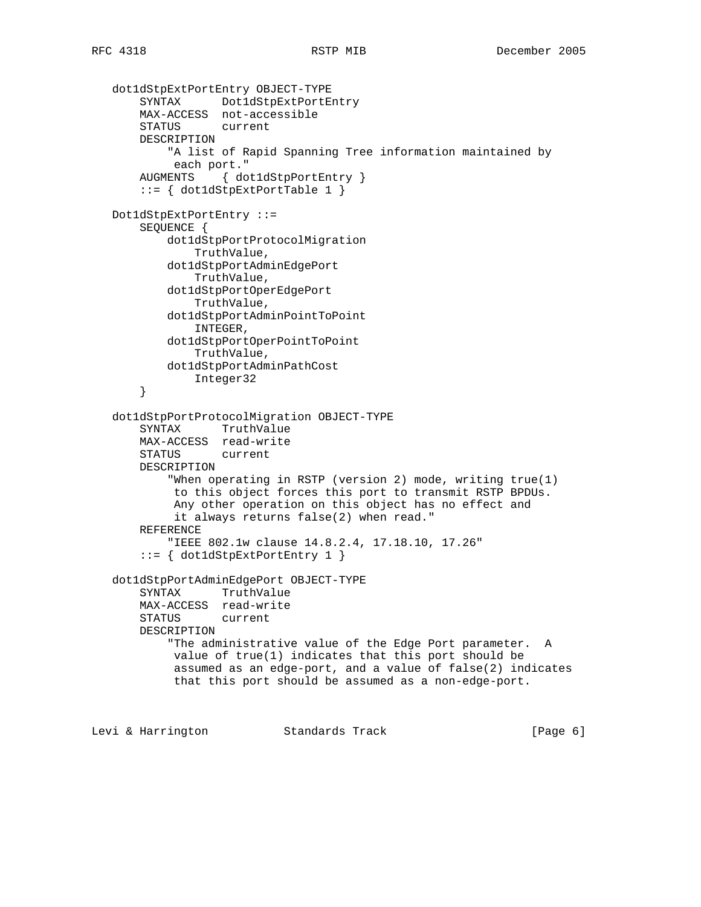```
 dot1dStpExtPortEntry OBJECT-TYPE
 SYNTAX Dot1dStpExtPortEntry
 MAX-ACCESS not-accessible
       STATUS current
       DESCRIPTION
            "A list of Rapid Spanning Tree information maintained by
            each port."
       AUGMENTS { dot1dStpPortEntry }
       ::= { dot1dStpExtPortTable 1 }
   Dot1dStpExtPortEntry ::=
       SEQUENCE {
           dot1dStpPortProtocolMigration
               TruthValue,
           dot1dStpPortAdminEdgePort
               TruthValue,
           dot1dStpPortOperEdgePort
               TruthValue,
           dot1dStpPortAdminPointToPoint
               INTEGER,
           dot1dStpPortOperPointToPoint
               TruthValue,
           dot1dStpPortAdminPathCost
               Integer32
        }
   dot1dStpPortProtocolMigration OBJECT-TYPE
       SYNTAX TruthValue
       MAX-ACCESS read-write
       STATUS current
       DESCRIPTION
            "When operating in RSTP (version 2) mode, writing true(1)
            to this object forces this port to transmit RSTP BPDUs.
            Any other operation on this object has no effect and
            it always returns false(2) when read."
       REFERENCE
           "IEEE 802.1w clause 14.8.2.4, 17.18.10, 17.26"
        ::= { dot1dStpExtPortEntry 1 }
   dot1dStpPortAdminEdgePort OBJECT-TYPE
       SYNTAX TruthValue
       MAX-ACCESS read-write
       STATUS current
       DESCRIPTION
           "The administrative value of the Edge Port parameter. A
            value of true(1) indicates that this port should be
            assumed as an edge-port, and a value of false(2) indicates
            that this port should be assumed as a non-edge-port.
```
Levi & Harrington Standards Track [Page 6]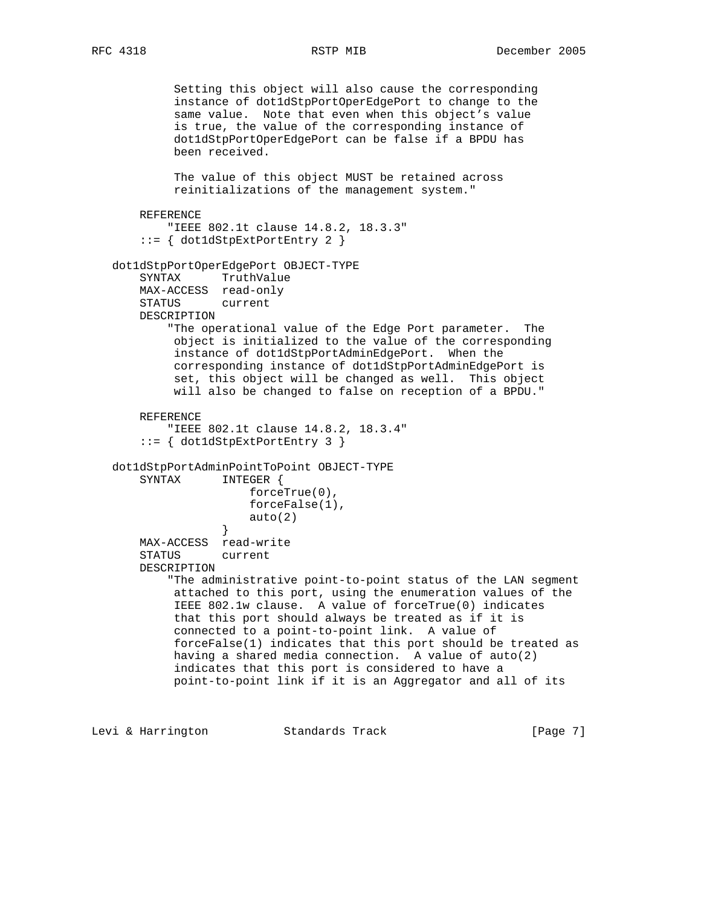```
 Setting this object will also cause the corresponding
             instance of dot1dStpPortOperEdgePort to change to the
             same value. Note that even when this object's value
             is true, the value of the corresponding instance of
             dot1dStpPortOperEdgePort can be false if a BPDU has
             been received.
             The value of this object MUST be retained across
             reinitializations of the management system."
       REFERENCE
           "IEEE 802.1t clause 14.8.2, 18.3.3"
        ::= { dot1dStpExtPortEntry 2 }
   dot1dStpPortOperEdgePort OBJECT-TYPE
       SYNTAX TruthValue
       MAX-ACCESS read-only
       STATUS current
       DESCRIPTION
            "The operational value of the Edge Port parameter. The
            object is initialized to the value of the corresponding
            instance of dot1dStpPortAdminEdgePort. When the
            corresponding instance of dot1dStpPortAdminEdgePort is
            set, this object will be changed as well. This object
             will also be changed to false on reception of a BPDU."
       REFERENCE
            "IEEE 802.1t clause 14.8.2, 18.3.4"
        ::= { dot1dStpExtPortEntry 3 }
   dot1dStpPortAdminPointToPoint OBJECT-TYPE
       SYNTAX INTEGER {
                       forceTrue(0),
                       forceFalse(1),
                   \begin{bmatrix} \text{auto}(2) \\ \end{bmatrix} }
       MAX-ACCESS read-write
       STATUS current
       DESCRIPTION
            "The administrative point-to-point status of the LAN segment
             attached to this port, using the enumeration values of the
             IEEE 802.1w clause. A value of forceTrue(0) indicates
             that this port should always be treated as if it is
             connected to a point-to-point link. A value of
             forceFalse(1) indicates that this port should be treated as
            having a shared media connection. A value of auto(2)
             indicates that this port is considered to have a
            point-to-point link if it is an Aggregator and all of its
```
Levi & Harrington Standards Track [Page 7]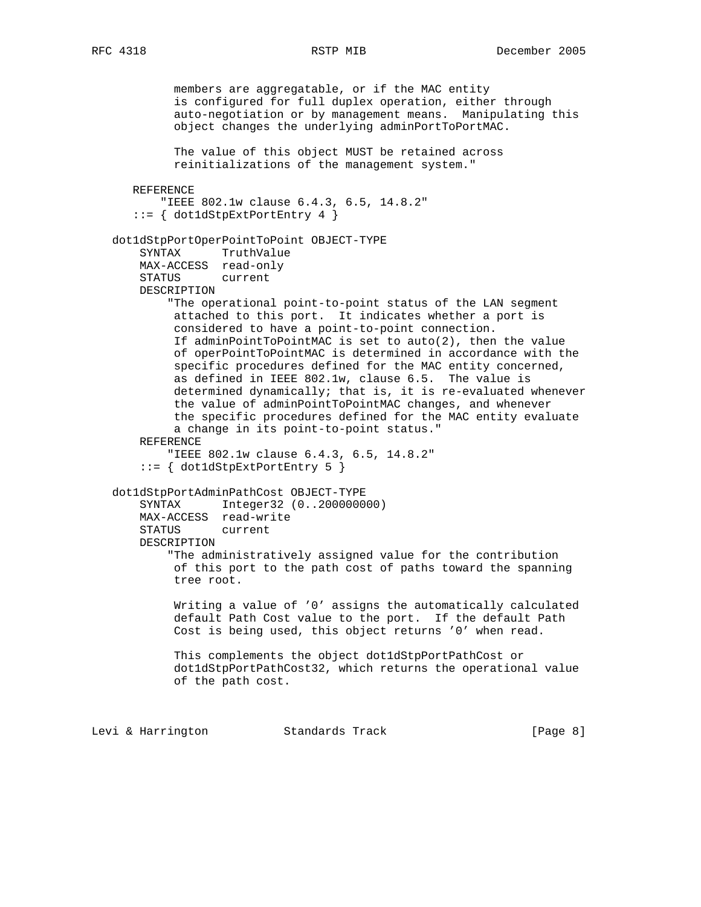```
 members are aggregatable, or if the MAC entity
          is configured for full duplex operation, either through
          auto-negotiation or by management means. Manipulating this
          object changes the underlying adminPortToPortMAC.
          The value of this object MUST be retained across
          reinitializations of the management system."
   REFERENCE
       "IEEE 802.1w clause 6.4.3, 6.5, 14.8.2"
    ::= { dot1dStpExtPortEntry 4 }
 dot1dStpPortOperPointToPoint OBJECT-TYPE
     SYNTAX TruthValue
    MAX-ACCESS read-only
     STATUS current
    DESCRIPTION
         "The operational point-to-point status of the LAN segment
         attached to this port. It indicates whether a port is
         considered to have a point-to-point connection.
         If adminPointToPointMAC is set to auto(2), then the value
          of operPointToPointMAC is determined in accordance with the
          specific procedures defined for the MAC entity concerned,
         as defined in IEEE 802.1w, clause 6.5. The value is
         determined dynamically; that is, it is re-evaluated whenever
          the value of adminPointToPointMAC changes, and whenever
          the specific procedures defined for the MAC entity evaluate
          a change in its point-to-point status."
    REFERENCE
         "IEEE 802.1w clause 6.4.3, 6.5, 14.8.2"
     ::= { dot1dStpExtPortEntry 5 }
 dot1dStpPortAdminPathCost OBJECT-TYPE
     SYNTAX Integer32 (0..200000000)
    MAX-ACCESS read-write
    STATUS current
    DESCRIPTION
         "The administratively assigned value for the contribution
         of this port to the path cost of paths toward the spanning
          tree root.
          Writing a value of '0' assigns the automatically calculated
          default Path Cost value to the port. If the default Path
          Cost is being used, this object returns '0' when read.
          This complements the object dot1dStpPortPathCost or
          dot1dStpPortPathCost32, which returns the operational value
         of the path cost.
```
Levi & Harrington Standards Track [Page 8]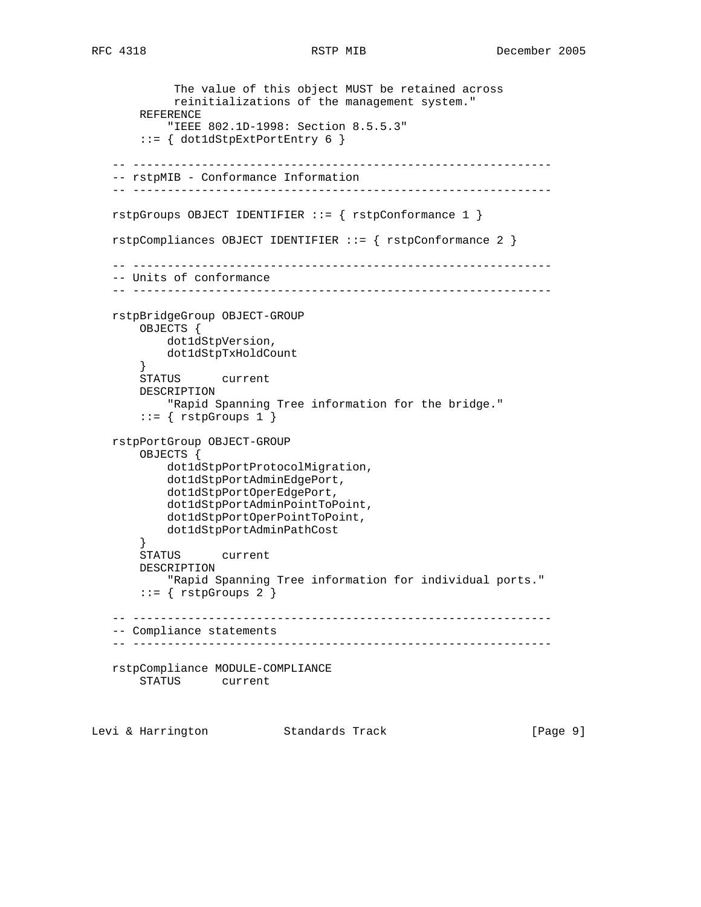```
 The value of this object MUST be retained across
            reinitializations of the management system."
        REFERENCE
            "IEEE 802.1D-1998: Section 8.5.5.3"
        ::= { dot1dStpExtPortEntry 6 }
    -- -------------------------------------------------------------
    -- rstpMIB - Conformance Information
    -- -------------------------------------------------------------
   rstpGroups OBJECT IDENTIFIER ::= { rstpConformance 1 }
   rstpCompliances OBJECT IDENTIFIER ::= { rstpConformance 2 }
     -- -------------------------------------------------------------
    -- Units of conformance
    -- -------------------------------------------------------------
    rstpBridgeGroup OBJECT-GROUP
        OBJECTS {
           dot1dStpVersion,
           dot1dStpTxHoldCount
 }
       STATUS current
        DESCRIPTION
            "Rapid Spanning Tree information for the bridge."
       ::= { rstpGroups 1 }
    rstpPortGroup OBJECT-GROUP
        OBJECTS {
            dot1dStpPortProtocolMigration,
            dot1dStpPortAdminEdgePort,
            dot1dStpPortOperEdgePort,
            dot1dStpPortAdminPointToPoint,
           dot1dStpPortOperPointToPoint,
           dot1dStpPortAdminPathCost
        }
        STATUS current
        DESCRIPTION
            "Rapid Spanning Tree information for individual ports."
       ::= \{ rstpGroups 2 \} -- -------------------------------------------------------------
    -- Compliance statements
    -- -------------------------------------------------------------
   rstpCompliance MODULE-COMPLIANCE
        STATUS current
Levi & Harrington Standards Track [Page 9]
```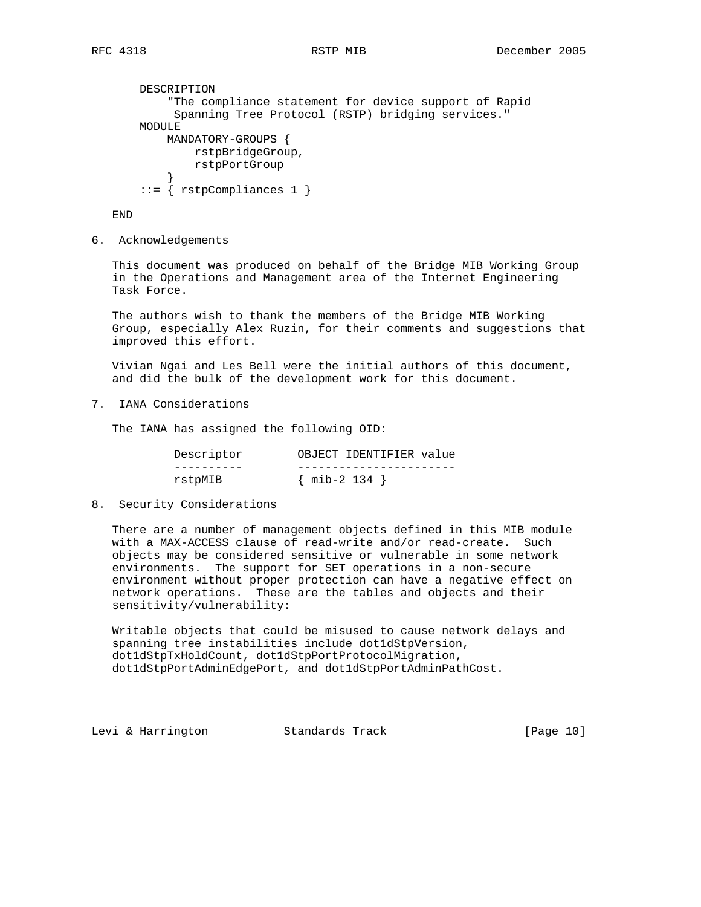```
 DESCRIPTION
            "The compliance statement for device support of Rapid
            Spanning Tree Protocol (RSTP) bridging services."
       MODULE
           MANDATORY-GROUPS {
               rstpBridgeGroup,
               rstpPortGroup
 }
        ::= { rstpCompliances 1 }
```
END

6. Acknowledgements

 This document was produced on behalf of the Bridge MIB Working Group in the Operations and Management area of the Internet Engineering Task Force.

 The authors wish to thank the members of the Bridge MIB Working Group, especially Alex Ruzin, for their comments and suggestions that improved this effort.

 Vivian Ngai and Les Bell were the initial authors of this document, and did the bulk of the development work for this document.

7. IANA Considerations

The IANA has assigned the following OID:

| Descriptor | OBJECT IDENTIFIER value |
|------------|-------------------------|
|            |                         |
| rstpMIB    | $\{$ mib-2 134 $\}$     |

8. Security Considerations

 There are a number of management objects defined in this MIB module with a MAX-ACCESS clause of read-write and/or read-create. Such objects may be considered sensitive or vulnerable in some network environments. The support for SET operations in a non-secure environment without proper protection can have a negative effect on network operations. These are the tables and objects and their sensitivity/vulnerability:

 Writable objects that could be misused to cause network delays and spanning tree instabilities include dot1dStpVersion, dot1dStpTxHoldCount, dot1dStpPortProtocolMigration, dot1dStpPortAdminEdgePort, and dot1dStpPortAdminPathCost.

Levi & Harrington Standards Track [Page 10]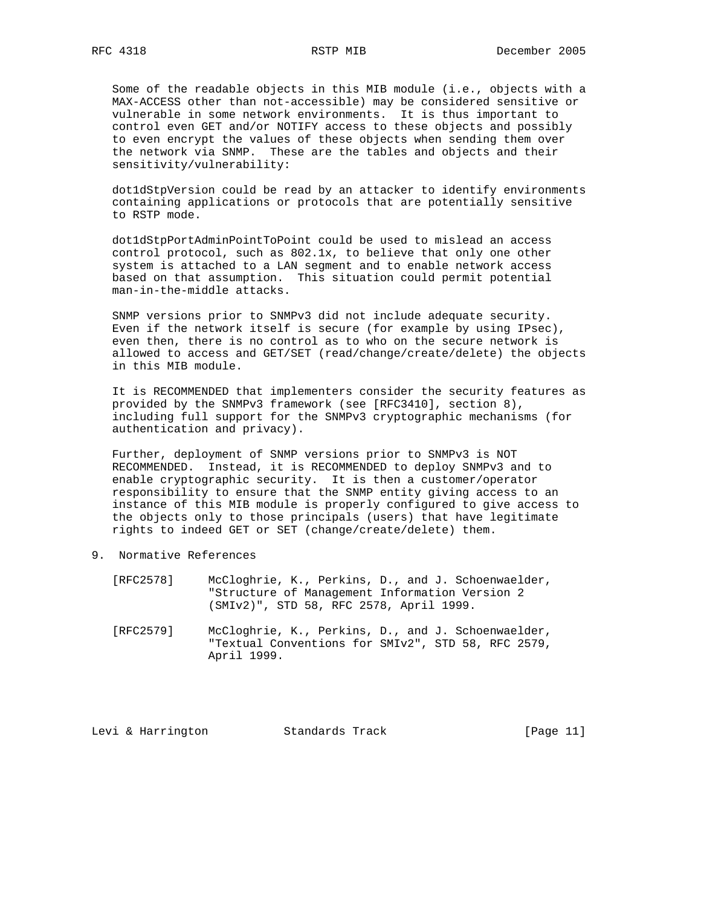Some of the readable objects in this MIB module (i.e., objects with a MAX-ACCESS other than not-accessible) may be considered sensitive or vulnerable in some network environments. It is thus important to control even GET and/or NOTIFY access to these objects and possibly to even encrypt the values of these objects when sending them over the network via SNMP. These are the tables and objects and their sensitivity/vulnerability:

 dot1dStpVersion could be read by an attacker to identify environments containing applications or protocols that are potentially sensitive to RSTP mode.

 dot1dStpPortAdminPointToPoint could be used to mislead an access control protocol, such as 802.1x, to believe that only one other system is attached to a LAN segment and to enable network access based on that assumption. This situation could permit potential man-in-the-middle attacks.

 SNMP versions prior to SNMPv3 did not include adequate security. Even if the network itself is secure (for example by using IPsec), even then, there is no control as to who on the secure network is allowed to access and GET/SET (read/change/create/delete) the objects in this MIB module.

 It is RECOMMENDED that implementers consider the security features as provided by the SNMPv3 framework (see [RFC3410], section 8), including full support for the SNMPv3 cryptographic mechanisms (for authentication and privacy).

 Further, deployment of SNMP versions prior to SNMPv3 is NOT RECOMMENDED. Instead, it is RECOMMENDED to deploy SNMPv3 and to enable cryptographic security. It is then a customer/operator responsibility to ensure that the SNMP entity giving access to an instance of this MIB module is properly configured to give access to the objects only to those principals (users) that have legitimate rights to indeed GET or SET (change/create/delete) them.

- 9. Normative References
	- [RFC2578] McCloghrie, K., Perkins, D., and J. Schoenwaelder, "Structure of Management Information Version 2 (SMIv2)", STD 58, RFC 2578, April 1999.
	- [RFC2579] McCloghrie, K., Perkins, D., and J. Schoenwaelder, "Textual Conventions for SMIv2", STD 58, RFC 2579, April 1999.

Levi & Harrington Standards Track [Page 11]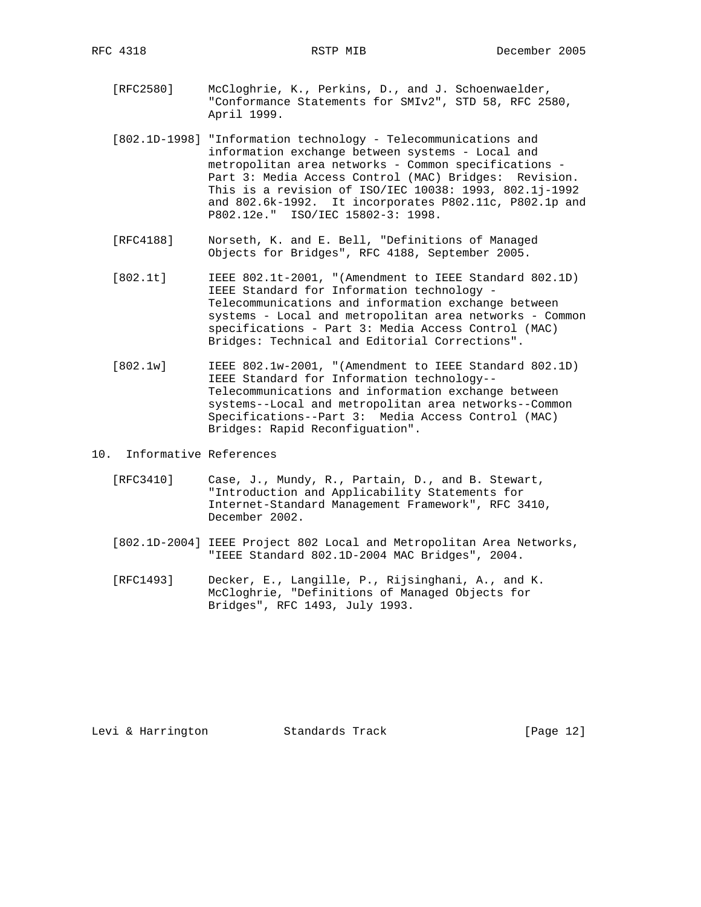- [RFC2580] McCloghrie, K., Perkins, D., and J. Schoenwaelder, "Conformance Statements for SMIv2", STD 58, RFC 2580, April 1999.
- [802.1D-1998] "Information technology Telecommunications and information exchange between systems - Local and metropolitan area networks - Common specifications - Part 3: Media Access Control (MAC) Bridges: Revision. This is a revision of ISO/IEC 10038: 1993, 802.1j-1992 and 802.6k-1992. It incorporates P802.11c, P802.1p and P802.12e." ISO/IEC 15802-3: 1998.
- [RFC4188] Norseth, K. and E. Bell, "Definitions of Managed Objects for Bridges", RFC 4188, September 2005.
- [802.1t] IEEE 802.1t-2001, "(Amendment to IEEE Standard 802.1D) IEEE Standard for Information technology - Telecommunications and information exchange between systems - Local and metropolitan area networks - Common specifications - Part 3: Media Access Control (MAC) Bridges: Technical and Editorial Corrections".
- [802.1w] IEEE 802.1w-2001, "(Amendment to IEEE Standard 802.1D) IEEE Standard for Information technology-- Telecommunications and information exchange between systems--Local and metropolitan area networks--Common Specifications--Part 3: Media Access Control (MAC) Bridges: Rapid Reconfiguation".
- 10. Informative References
	- [RFC3410] Case, J., Mundy, R., Partain, D., and B. Stewart, "Introduction and Applicability Statements for Internet-Standard Management Framework", RFC 3410, December 2002.
	- [802.1D-2004] IEEE Project 802 Local and Metropolitan Area Networks, "IEEE Standard 802.1D-2004 MAC Bridges", 2004.
	- [RFC1493] Decker, E., Langille, P., Rijsinghani, A., and K. McCloghrie, "Definitions of Managed Objects for Bridges", RFC 1493, July 1993.

Levi & Harrington Standards Track [Page 12]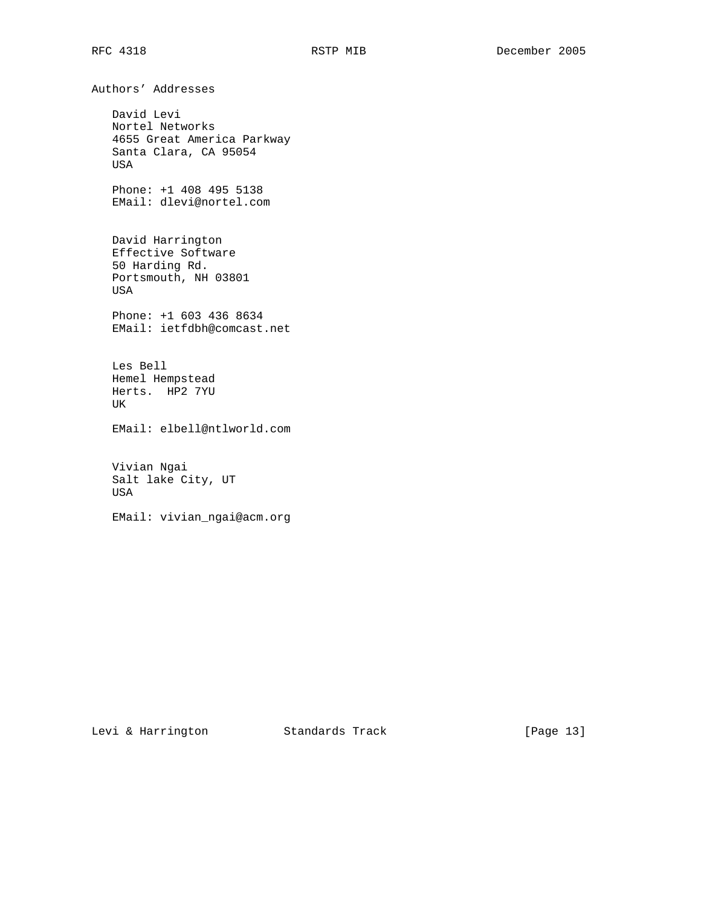Authors' Addresses David Levi Nortel Networks 4655 Great America Parkway Santa Clara, CA 95054 USA Phone: +1 408 495 5138 EMail: dlevi@nortel.com David Harrington Effective Software 50 Harding Rd. Portsmouth, NH 03801 USA Phone: +1 603 436 8634 EMail: ietfdbh@comcast.net Les Bell Hemel Hempstead Herts. HP2 7YU UK EMail: elbell@ntlworld.com Vivian Ngai Salt lake City, UT USA EMail: vivian\_ngai@acm.org

Levi & Harrington Standards Track [Page 13]